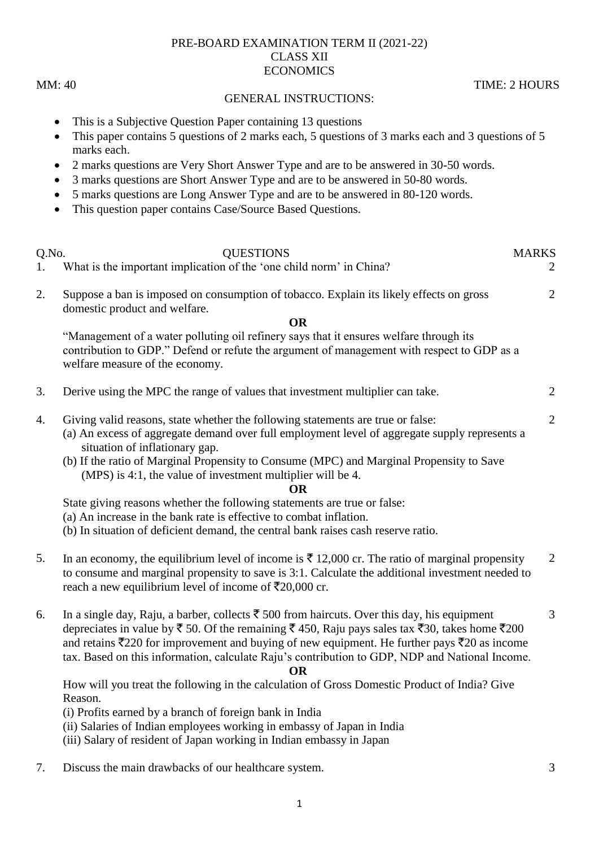## PRE-BOARD EXAMINATION TERM II (2021-22) CLASS XII **ECONOMICS**

MM: 40 TIME: 2 HOURS

## GENERAL INSTRUCTIONS:

- This is a Subjective Question Paper containing 13 questions
- This paper contains 5 questions of 2 marks each, 5 questions of 3 marks each and 3 questions of 5 marks each.
- 2 marks questions are Very Short Answer Type and are to be answered in 30-50 words.
- 3 marks questions are Short Answer Type and are to be answered in 50-80 words.
- 5 marks questions are Long Answer Type and are to be answered in 80-120 words.
- This question paper contains Case/Source Based Questions.
- Q.No. QUESTIONS MARKS 1. What is the important implication of the 'one child norm' in China? 2. Suppose a ban is imposed on consumption of tobacco. Explain its likely effects on gross domestic product and welfare. **OR** "Management of a water polluting oil refinery says that it ensures welfare through its contribution to GDP." Defend or refute the argument of management with respect to GDP as a welfare measure of the economy.  $\overline{2}$ 3. Derive using the MPC the range of values that investment multiplier can take. 2 4. Giving valid reasons, state whether the following statements are true or false: (a) An excess of aggregate demand over full employment level of aggregate supply represents a situation of inflationary gap. (b) If the ratio of Marginal Propensity to Consume (MPC) and Marginal Propensity to Save (MPS) is 4:1, the value of investment multiplier will be 4. **OR** State giving reasons whether the following statements are true or false: (a) An increase in the bank rate is effective to combat inflation. (b) In situation of deficient demand, the central bank raises cash reserve ratio. 2 5. In an economy, the equilibrium level of income is  $\bar{\tau}$  12,000 cr. The ratio of marginal propensity to consume and marginal propensity to save is 3:1. Calculate the additional investment needed to reach a new equilibrium level of income of  $\overline{\xi}20,000$  cr. 2 6. In a single day, Raju, a barber, collects  $\bar{\tau}$  500 from haircuts. Over this day, his equipment depreciates in value by  $\bar{\xi}$  50. Of the remaining  $\bar{\xi}$  450, Raju pays sales tax  $\bar{\xi}$ 30, takes home  $\bar{\xi}$ 200 and retains  $\bar{\mathcal{F}}$ 220 for improvement and buying of new equipment. He further pays  $\bar{\mathcal{F}}$ 20 as income tax. Based on this information, calculate Raju"s contribution to GDP, NDP and National Income. **OR** How will you treat the following in the calculation of Gross Domestic Product of India? Give Reason. (i) Profits earned by a branch of foreign bank in India (ii) Salaries of Indian employees working in embassy of Japan in India (iii) Salary of resident of Japan working in Indian embassy in Japan 3 7. Discuss the main drawbacks of our healthcare system. 3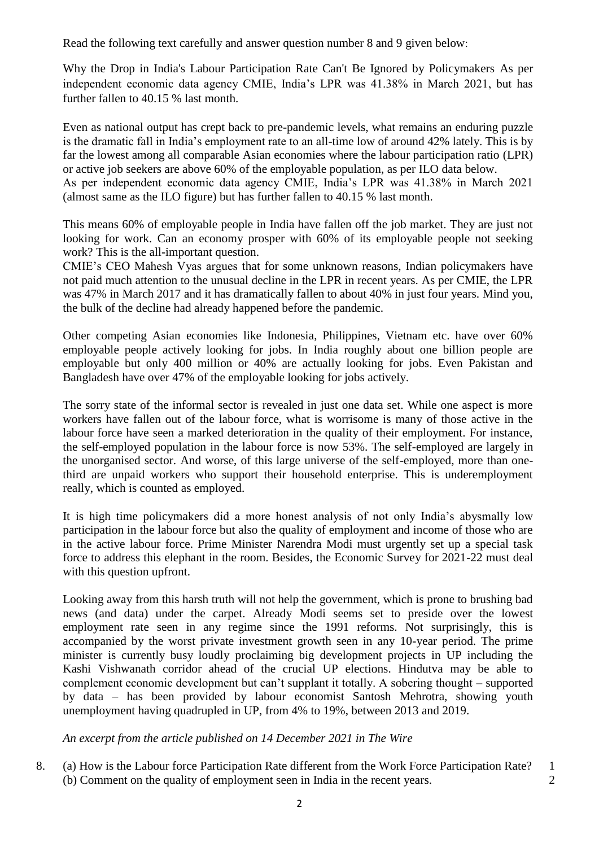Read the following text carefully and answer question number 8 and 9 given below:

Why the Drop in India's Labour Participation Rate Can't Be Ignored by Policymakers As per independent economic data agency CMIE, India"s LPR was 41.38% in March 2021, but has further fallen to 40.15 % last month.

Even as national output has crept back to pre-pandemic levels, what remains an enduring puzzle is the dramatic fall in India"s employment rate to an all-time low of around 42% lately. This is by far the lowest among all comparable Asian economies where the labour participation ratio (LPR) or active job seekers are above 60% of the employable population, as per ILO data below.

As per independent economic data agency CMIE, India"s LPR was 41.38% in March 2021 (almost same as the ILO figure) but has further fallen to 40.15 % last month.

This means 60% of employable people in India have fallen off the job market. They are just not looking for work. Can an economy prosper with 60% of its employable people not seeking work? This is the all-important question.

CMIE"s CEO Mahesh Vyas argues that for some unknown reasons, Indian policymakers have not paid much attention to the unusual decline in the LPR in recent years. As per CMIE, the LPR was 47% in March 2017 and it has dramatically fallen to about 40% in just four years. Mind you, the bulk of the decline had already happened before the pandemic.

Other competing Asian economies like Indonesia, Philippines, Vietnam etc. have over 60% employable people actively looking for jobs. In India roughly about one billion people are employable but only 400 million or 40% are actually looking for jobs. Even Pakistan and Bangladesh have over 47% of the employable looking for jobs actively.

The sorry state of the informal sector is revealed in just one data set. While one aspect is more workers have fallen out of the labour force, what is worrisome is many of those active in the labour force have seen a marked deterioration in the quality of their employment. For instance, the self-employed population in the labour force is now 53%. The self-employed are largely in the unorganised sector. And worse, of this large universe of the self-employed, more than onethird are unpaid workers who support their household enterprise. This is underemployment really, which is counted as employed.

It is high time policymakers did a more honest analysis of not only India"s abysmally low participation in the labour force but also the quality of employment and income of those who are in the active labour force. Prime Minister Narendra Modi must urgently set up a special task force to address this elephant in the room. Besides, the Economic Survey for 2021-22 must deal with this question upfront.

Looking away from this harsh truth will not help the government, which is prone to brushing bad news (and data) under the carpet. Already Modi seems set to preside over the lowest employment rate seen in any regime since the 1991 reforms. Not surprisingly, this is accompanied by the worst private investment growth seen in any 10-year period. The prime minister is currently busy loudly proclaiming big development projects in UP including the Kashi Vishwanath corridor ahead of the crucial UP elections. Hindutva may be able to complement economic development but can"t supplant it totally. A sobering thought – supported by data – has been provided by labour economist Santosh Mehrotra, showing youth unemployment having quadrupled in UP, from 4% to 19%, between 2013 and 2019.

*An excerpt from the article published on 14 December 2021 in The Wire*

8. (a) How is the Labour force Participation Rate different from the Work Force Participation Rate? (b) Comment on the quality of employment seen in India in the recent years. 1 2